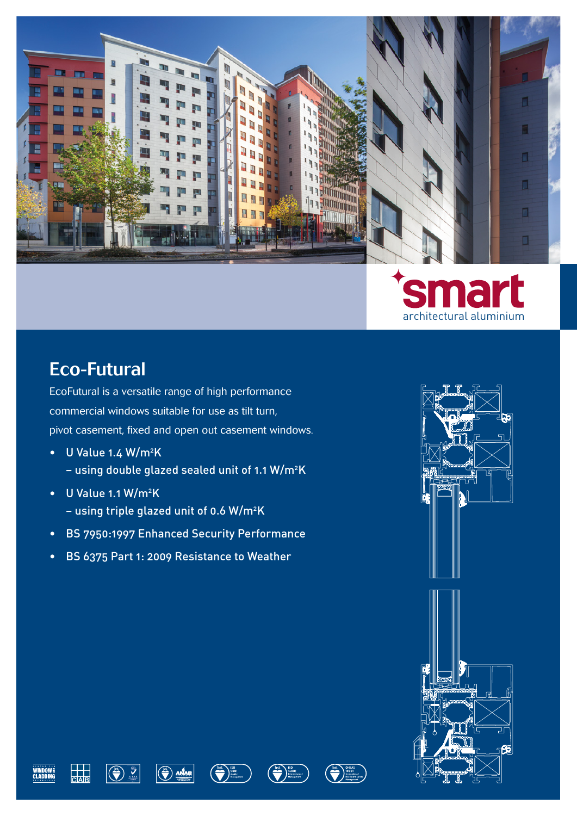



## Eco-Futural

EcoFutural is a versatile range of high performance commercial windows suitable for use as tilt turn, pivot casement, fixed and open out casement windows.

- U Value 1.4 W/m<sup>2</sup>K – using double glazed sealed unit of 1.1 W/m<sup>2</sup>K
- U Value 1.1 W/m<sup>2</sup>K – using triple glazed unit of 0.6 W/m<sup>2</sup>K
- BS 7950:1997 Enhanced Security Performance
- BS 6375 Part 1: 2009 Resistance to Weather